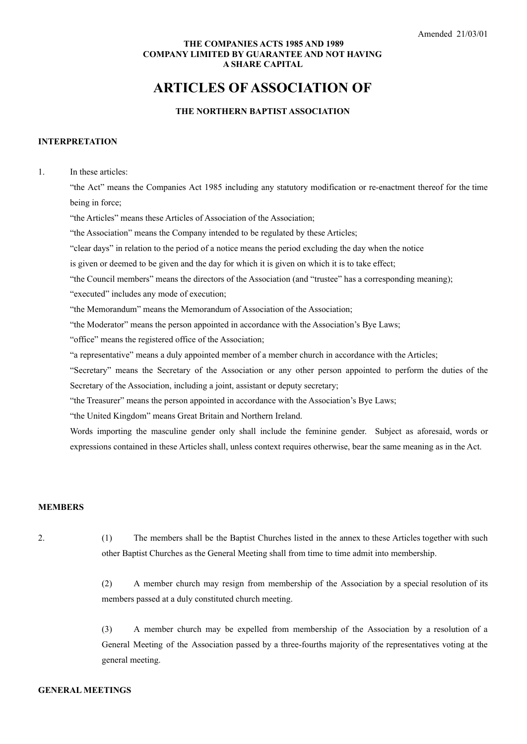### **THE COMPANIES ACTS 1985 AND 1989 COMPANY LIMITED BY GUARANTEE AND NOT HAVING A SHARE CAPITAL**

# **ARTICLES OF ASSOCIATION OF**

# **THE NORTHERN BAPTIST ASSOCIATION**

#### **INTERPRETATION**

1. In these articles:

"the Act" means the Companies Act 1985 including any statutory modification or re-enactment thereof for the time being in force;

"the Articles" means these Articles of Association of the Association;

"the Association" means the Company intended to be regulated by these Articles;

"clear days" in relation to the period of a notice means the period excluding the day when the notice

is given or deemed to be given and the day for which it is given on which it is to take effect;

"the Council members" means the directors of the Association (and "trustee" has a corresponding meaning);

"executed" includes any mode of execution;

"the Memorandum" means the Memorandum of Association of the Association;

"the Moderator" means the person appointed in accordance with the Association's Bye Laws;

"office" means the registered office of the Association;

"a representative" means a duly appointed member of a member church in accordance with the Articles;

"Secretary" means the Secretary of the Association or any other person appointed to perform the duties of the Secretary of the Association, including a joint, assistant or deputy secretary;

"the Treasurer" means the person appointed in accordance with the Association's Bye Laws;

"the United Kingdom" means Great Britain and Northern Ireland.

Words importing the masculine gender only shall include the feminine gender. Subject as aforesaid, words or expressions contained in these Articles shall, unless context requires otherwise, bear the same meaning as in the Act.

#### **MEMBERS**

2. (1) The members shall be the Baptist Churches listed in the annex to these Articles together with such other Baptist Churches as the General Meeting shall from time to time admit into membership.

> (2) A member church may resign from membership of the Association by a special resolution of its members passed at a duly constituted church meeting.

> (3) A member church may be expelled from membership of the Association by a resolution of a General Meeting of the Association passed by a three-fourths majority of the representatives voting at the general meeting.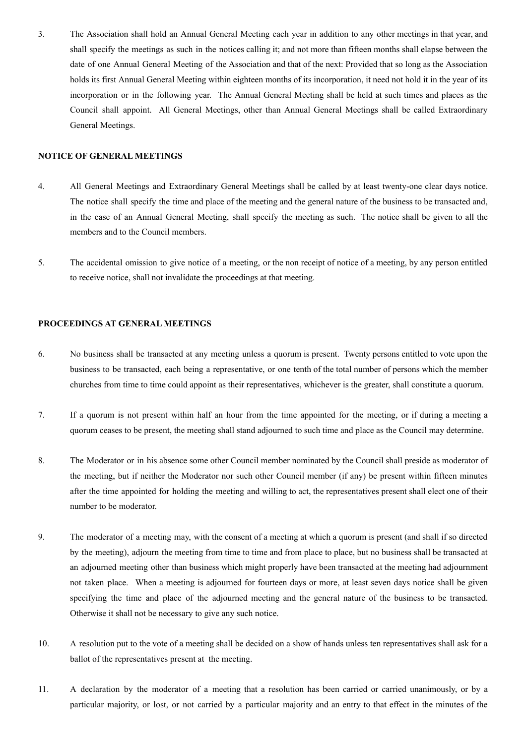3. The Association shall hold an Annual General Meeting each year in addition to any other meetings in that year, and shall specify the meetings as such in the notices calling it; and not more than fifteen months shall elapse between the date of one Annual General Meeting of the Association and that of the next: Provided that so long as the Association holds its first Annual General Meeting within eighteen months of its incorporation, it need not hold it in the year of its incorporation or in the following year. The Annual General Meeting shall be held at such times and places as the Council shall appoint. All General Meetings, other than Annual General Meetings shall be called Extraordinary General Meetings.

#### **NOTICE OF GENERAL MEETINGS**

- 4. All General Meetings and Extraordinary General Meetings shall be called by at least twenty-one clear days notice. The notice shall specify the time and place of the meeting and the general nature of the business to be transacted and, in the case of an Annual General Meeting, shall specify the meeting as such. The notice shall be given to all the members and to the Council members.
- 5. The accidental omission to give notice of a meeting, or the non receipt of notice of a meeting, by any person entitled to receive notice, shall not invalidate the proceedings at that meeting.

# **PROCEEDINGS AT GENERAL MEETINGS**

- 6. No business shall be transacted at any meeting unless a quorum is present. Twenty persons entitled to vote upon the business to be transacted, each being a representative, or one tenth of the total number of persons which the member churches from time to time could appoint as their representatives, whichever is the greater, shall constitute a quorum.
- 7. If a quorum is not present within half an hour from the time appointed for the meeting, or if during a meeting a quorum ceases to be present, the meeting shall stand adjourned to such time and place as the Council may determine.
- 8. The Moderator or in his absence some other Council member nominated by the Council shall preside as moderator of the meeting, but if neither the Moderator nor such other Council member (if any) be present within fifteen minutes after the time appointed for holding the meeting and willing to act, the representatives present shall elect one of their number to be moderator.
- 9. The moderator of a meeting may, with the consent of a meeting at which a quorum is present (and shall if so directed by the meeting), adjourn the meeting from time to time and from place to place, but no business shall be transacted at an adjourned meeting other than business which might properly have been transacted at the meeting had adjournment not taken place. When a meeting is adjourned for fourteen days or more, at least seven days notice shall be given specifying the time and place of the adjourned meeting and the general nature of the business to be transacted. Otherwise it shall not be necessary to give any such notice.
- 10. A resolution put to the vote of a meeting shall be decided on a show of hands unless ten representatives shall ask for a ballot of the representatives present at the meeting.
- 11. A declaration by the moderator of a meeting that a resolution has been carried or carried unanimously, or by a particular majority, or lost, or not carried by a particular majority and an entry to that effect in the minutes of the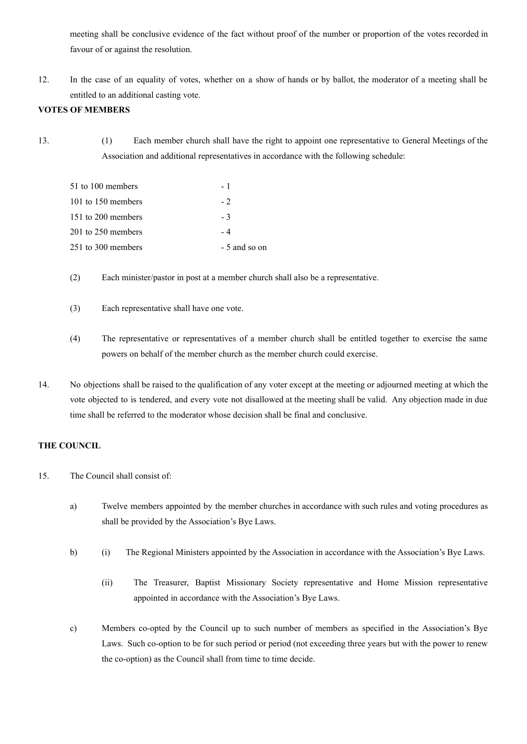meeting shall be conclusive evidence of the fact without proof of the number or proportion of the votes recorded in favour of or against the resolution.

12. In the case of an equality of votes, whether on a show of hands or by ballot, the moderator of a meeting shall be entitled to an additional casting vote.

## **VOTES OF MEMBERS**

13. (1) Each member church shall have the right to appoint one representative to General Meetings of the Association and additional representatives in accordance with the following schedule:

| 51 to 100 members  | - 1           |
|--------------------|---------------|
| 101 to 150 members | $-2$          |
| 151 to 200 members | - 3           |
| 201 to 250 members | - 4           |
| 251 to 300 members | - 5 and so on |

(2) Each minister/pastor in post at a member church shall also be a representative.

- (3) Each representative shall have one vote.
- (4) The representative or representatives of a member church shall be entitled together to exercise the same powers on behalf of the member church as the member church could exercise.
- 14. No objections shall be raised to the qualification of any voter except at the meeting or adjourned meeting at which the vote objected to is tendered, and every vote not disallowed at the meeting shall be valid. Any objection made in due time shall be referred to the moderator whose decision shall be final and conclusive.

#### **THE COUNCIL**

- 15. The Council shall consist of:
	- a) Twelve members appointed by the member churches in accordance with such rules and voting procedures as shall be provided by the Association's Bye Laws.
	- b) (i) The Regional Ministers appointed by the Association in accordance with the Association's Bye Laws.
		- (ii) The Treasurer, Baptist Missionary Society representative and Home Mission representative appointed in accordance with the Association's Bye Laws.
	- c) Members co-opted by the Council up to such number of members as specified in the Association's Bye Laws. Such co-option to be for such period or period (not exceeding three years but with the power to renew the co-option) as the Council shall from time to time decide.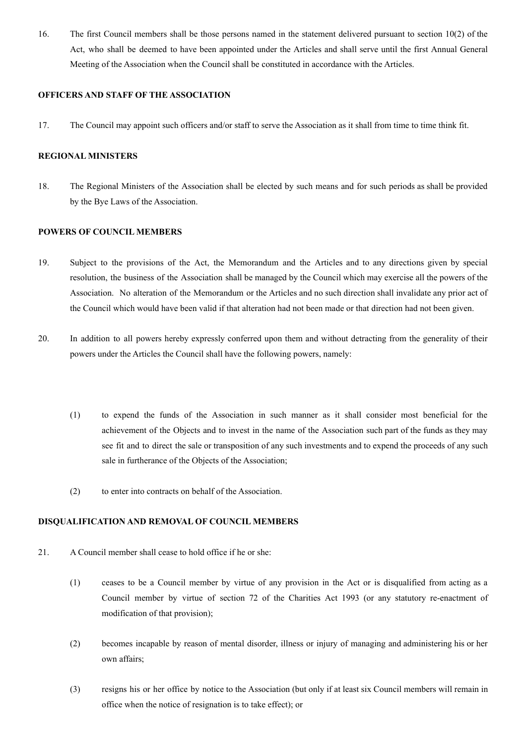16. The first Council members shall be those persons named in the statement delivered pursuant to section 10(2) of the Act, who shall be deemed to have been appointed under the Articles and shall serve until the first Annual General Meeting of the Association when the Council shall be constituted in accordance with the Articles.

#### **OFFICERS AND STAFF OF THE ASSOCIATION**

17. The Council may appoint such officers and/or staff to serve the Association as it shall from time to time think fit.

#### **REGIONAL MINISTERS**

18. The Regional Ministers of the Association shall be elected by such means and for such periods as shall be provided by the Bye Laws of the Association.

#### **POWERS OF COUNCIL MEMBERS**

- 19. Subject to the provisions of the Act, the Memorandum and the Articles and to any directions given by special resolution, the business of the Association shall be managed by the Council which may exercise all the powers of the Association. No alteration of the Memorandum or the Articles and no such direction shall invalidate any prior act of the Council which would have been valid if that alteration had not been made or that direction had not been given.
- 20. In addition to all powers hereby expressly conferred upon them and without detracting from the generality of their powers under the Articles the Council shall have the following powers, namely:
	- (1) to expend the funds of the Association in such manner as it shall consider most beneficial for the achievement of the Objects and to invest in the name of the Association such part of the funds as they may see fit and to direct the sale or transposition of any such investments and to expend the proceeds of any such sale in furtherance of the Objects of the Association;
	- (2) to enter into contracts on behalf of the Association.

# **DISQUALIFICATION AND REMOVAL OF COUNCIL MEMBERS**

- 21. A Council member shall cease to hold office if he or she:
	- (1) ceases to be a Council member by virtue of any provision in the Act or is disqualified from acting as a Council member by virtue of section 72 of the Charities Act 1993 (or any statutory re-enactment of modification of that provision);
	- (2) becomes incapable by reason of mental disorder, illness or injury of managing and administering his or her own affairs;
	- (3) resigns his or her office by notice to the Association (but only if at least six Council members will remain in office when the notice of resignation is to take effect); or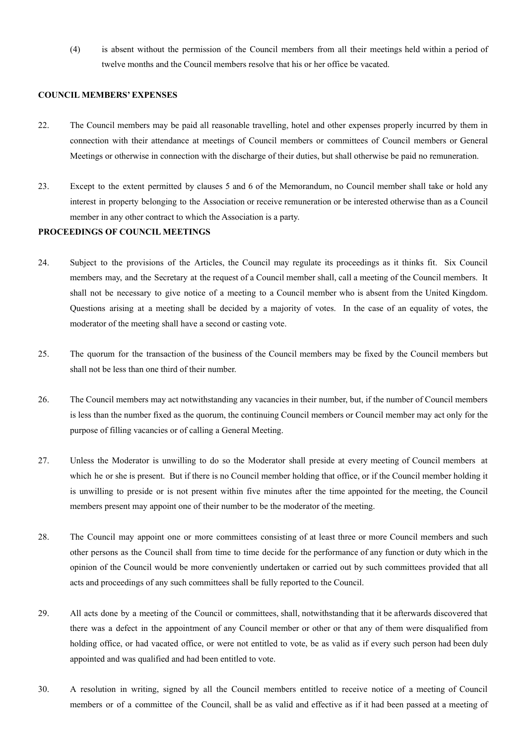(4) is absent without the permission of the Council members from all their meetings held within a period of twelve months and the Council members resolve that his or her office be vacated.

#### **COUNCIL MEMBERS' EXPENSES**

- 22. The Council members may be paid all reasonable travelling, hotel and other expenses properly incurred by them in connection with their attendance at meetings of Council members or committees of Council members or General Meetings or otherwise in connection with the discharge of their duties, but shall otherwise be paid no remuneration.
- 23. Except to the extent permitted by clauses 5 and 6 of the Memorandum, no Council member shall take or hold any interest in property belonging to the Association or receive remuneration or be interested otherwise than as a Council member in any other contract to which the Association is a party.

# **PROCEEDINGS OF COUNCIL MEETINGS**

- 24. Subject to the provisions of the Articles, the Council may regulate its proceedings as it thinks fit. Six Council members may, and the Secretary at the request of a Council member shall, call a meeting of the Council members. It shall not be necessary to give notice of a meeting to a Council member who is absent from the United Kingdom. Questions arising at a meeting shall be decided by a majority of votes. In the case of an equality of votes, the moderator of the meeting shall have a second or casting vote.
- 25. The quorum for the transaction of the business of the Council members may be fixed by the Council members but shall not be less than one third of their number.
- 26. The Council members may act notwithstanding any vacancies in their number, but, if the number of Council members is less than the number fixed as the quorum, the continuing Council members or Council member may act only for the purpose of filling vacancies or of calling a General Meeting.
- 27. Unless the Moderator is unwilling to do so the Moderator shall preside at every meeting of Council members at which he or she is present. But if there is no Council member holding that office, or if the Council member holding it is unwilling to preside or is not present within five minutes after the time appointed for the meeting, the Council members present may appoint one of their number to be the moderator of the meeting.
- 28. The Council may appoint one or more committees consisting of at least three or more Council members and such other persons as the Council shall from time to time decide for the performance of any function or duty which in the opinion of the Council would be more conveniently undertaken or carried out by such committees provided that all acts and proceedings of any such committees shall be fully reported to the Council.
- 29. All acts done by a meeting of the Council or committees, shall, notwithstanding that it be afterwards discovered that there was a defect in the appointment of any Council member or other or that any of them were disqualified from holding office, or had vacated office, or were not entitled to vote, be as valid as if every such person had been duly appointed and was qualified and had been entitled to vote.
- 30. A resolution in writing, signed by all the Council members entitled to receive notice of a meeting of Council members or of a committee of the Council, shall be as valid and effective as if it had been passed at a meeting of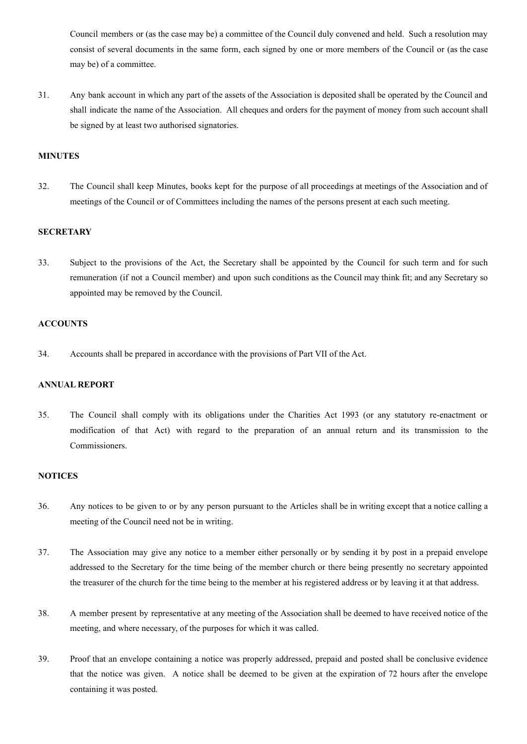Council members or (as the case may be) a committee of the Council duly convened and held. Such a resolution may consist of several documents in the same form, each signed by one or more members of the Council or (as the case may be) of a committee.

31. Any bank account in which any part of the assets of the Association is deposited shall be operated by the Council and shall indicate the name of the Association. All cheques and orders for the payment of money from such account shall be signed by at least two authorised signatories.

#### **MINUTES**

32. The Council shall keep Minutes, books kept for the purpose of all proceedings at meetings of the Association and of meetings of the Council or of Committees including the names of the persons present at each such meeting.

#### **SECRETARY**

33. Subject to the provisions of the Act, the Secretary shall be appointed by the Council for such term and for such remuneration (if not a Council member) and upon such conditions as the Council may think fit; and any Secretary so appointed may be removed by the Council.

## **ACCOUNTS**

34. Accounts shall be prepared in accordance with the provisions of Part VII of the Act.

#### **ANNUAL REPORT**

35. The Council shall comply with its obligations under the Charities Act 1993 (or any statutory re-enactment or modification of that Act) with regard to the preparation of an annual return and its transmission to the Commissioners.

#### **NOTICES**

- 36. Any notices to be given to or by any person pursuant to the Articles shall be in writing except that a notice calling a meeting of the Council need not be in writing.
- 37. The Association may give any notice to a member either personally or by sending it by post in a prepaid envelope addressed to the Secretary for the time being of the member church or there being presently no secretary appointed the treasurer of the church for the time being to the member at his registered address or by leaving it at that address.
- 38. A member present by representative at any meeting of the Association shall be deemed to have received notice of the meeting, and where necessary, of the purposes for which it was called.
- 39. Proof that an envelope containing a notice was properly addressed, prepaid and posted shall be conclusive evidence that the notice was given. A notice shall be deemed to be given at the expiration of 72 hours after the envelope containing it was posted.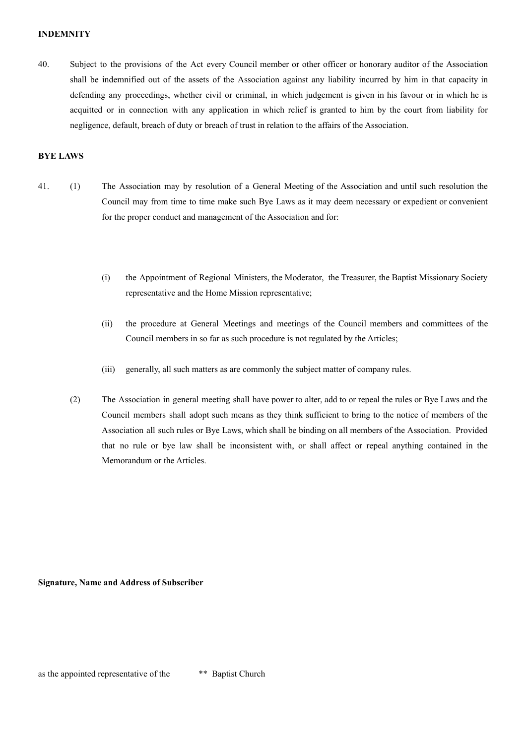#### **INDEMNITY**

40. Subject to the provisions of the Act every Council member or other officer or honorary auditor of the Association shall be indemnified out of the assets of the Association against any liability incurred by him in that capacity in defending any proceedings, whether civil or criminal, in which judgement is given in his favour or in which he is acquitted or in connection with any application in which relief is granted to him by the court from liability for negligence, default, breach of duty or breach of trust in relation to the affairs of the Association.

#### **BYE LAWS**

- 41. (1) The Association may by resolution of a General Meeting of the Association and until such resolution the Council may from time to time make such Bye Laws as it may deem necessary or expedient or convenient for the proper conduct and management of the Association and for:
	- (i) the Appointment of Regional Ministers, the Moderator, the Treasurer, the Baptist Missionary Society representative and the Home Mission representative;
	- (ii) the procedure at General Meetings and meetings of the Council members and committees of the Council members in so far as such procedure is not regulated by the Articles;
	- (iii) generally, all such matters as are commonly the subject matter of company rules.
	- (2) The Association in general meeting shall have power to alter, add to or repeal the rules or Bye Laws and the Council members shall adopt such means as they think sufficient to bring to the notice of members of the Association all such rules or Bye Laws, which shall be binding on all members of the Association. Provided that no rule or bye law shall be inconsistent with, or shall affect or repeal anything contained in the Memorandum or the Articles.

**Signature, Name and Address of Subscriber**